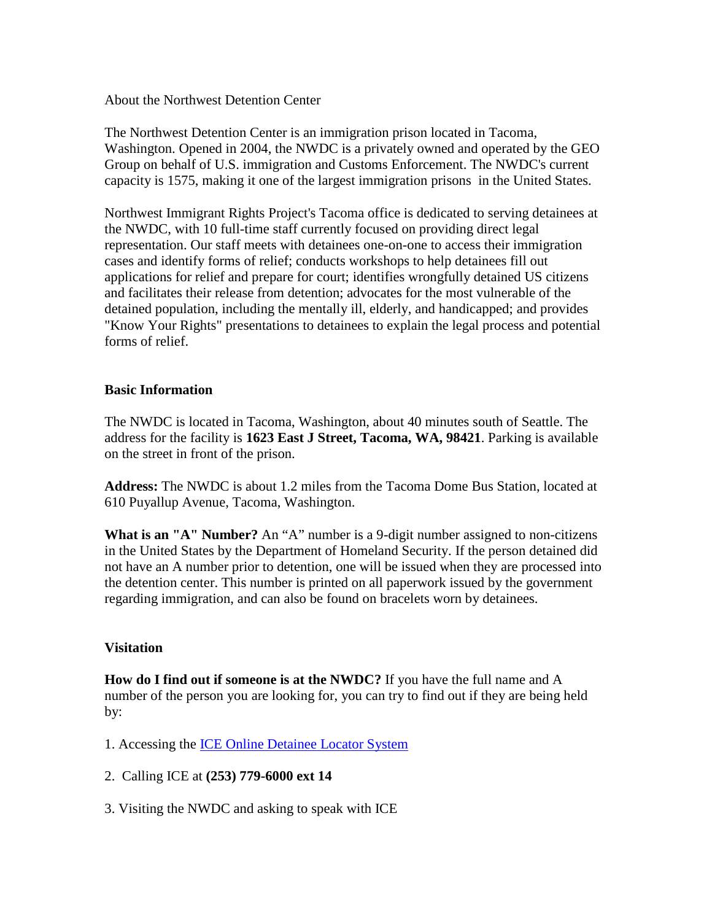About the Northwest Detention Center

The Northwest Detention Center is an immigration prison located in Tacoma, Washington. Opened in 2004, the NWDC is a privately owned and operated by the GEO Group on behalf of U.S. immigration and Customs Enforcement. The NWDC's current capacity is 1575, making it one of the largest immigration prisons in the United States.

Northwest Immigrant Rights Project's Tacoma office is dedicated to serving detainees at the NWDC, with 10 full-time staff currently focused on providing direct legal representation. Our staff meets with detainees one-on-one to access their immigration cases and identify forms of relief; conducts workshops to help detainees fill out applications for relief and prepare for court; identifies wrongfully detained US citizens and facilitates their release from detention; advocates for the most vulnerable of the detained population, including the mentally ill, elderly, and handicapped; and provides "Know Your Rights" presentations to detainees to explain the legal process and potential forms of relief.

### **Basic Information**

The NWDC is located in Tacoma, Washington, about 40 minutes south of Seattle. The address for the facility is **1623 East J Street, Tacoma, WA, 98421**. Parking is available on the street in front of the prison.

**Address:** The NWDC is about 1.2 miles from the Tacoma Dome Bus Station, located at 610 Puyallup Avenue, Tacoma, Washington.

**What is an "A" Number?** An "A" number is a 9-digit number assigned to non-citizens in the United States by the Department of Homeland Security. If the person detained did not have an A number prior to detention, one will be issued when they are processed into the detention center. This number is printed on all paperwork issued by the government regarding immigration, and can also be found on bracelets worn by detainees.

# **Visitation**

**How do I find out if someone is at the NWDC?** If you have the full name and A number of the person you are looking for, you can try to find out if they are being held by:

- 1. Accessing the [ICE Online Detainee Locator System](https://locator.ice.gov/odls/homePage.do)
- 2. Calling ICE at **(253) 779-6000 ext 14**
- 3. Visiting the NWDC and asking to speak with ICE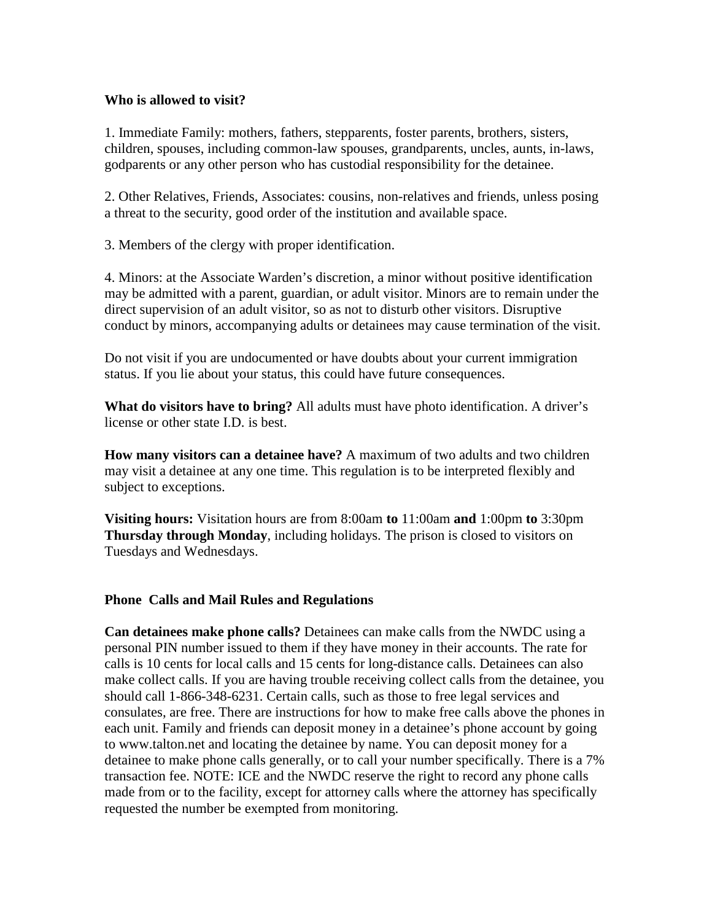### **Who is allowed to visit?**

1. Immediate Family: mothers, fathers, stepparents, foster parents, brothers, sisters, children, spouses, including common-law spouses, grandparents, uncles, aunts, in-laws, godparents or any other person who has custodial responsibility for the detainee.

2. Other Relatives, Friends, Associates: cousins, non-relatives and friends, unless posing a threat to the security, good order of the institution and available space.

3. Members of the clergy with proper identification.

4. Minors: at the Associate Warden's discretion, a minor without positive identification may be admitted with a parent, guardian, or adult visitor. Minors are to remain under the direct supervision of an adult visitor, so as not to disturb other visitors. Disruptive conduct by minors, accompanying adults or detainees may cause termination of the visit.

Do not visit if you are undocumented or have doubts about your current immigration status. If you lie about your status, this could have future consequences.

**What do visitors have to bring?** All adults must have photo identification. A driver's license or other state I.D. is best.

**How many visitors can a detainee have?** A maximum of two adults and two children may visit a detainee at any one time. This regulation is to be interpreted flexibly and subject to exceptions.

**Visiting hours:** Visitation hours are from 8:00am **to** 11:00am **and** 1:00pm **to** 3:30pm **Thursday through Monday**, including holidays. The prison is closed to visitors on Tuesdays and Wednesdays.

### **Phone Calls and Mail Rules and Regulations**

**Can detainees make phone calls?** Detainees can make calls from the NWDC using a personal PIN number issued to them if they have money in their accounts. The rate for calls is 10 cents for local calls and 15 cents for long-distance calls. Detainees can also make collect calls. If you are having trouble receiving collect calls from the detainee, you should call 1-866-348-6231. Certain calls, such as those to free legal services and consulates, are free. There are instructions for how to make free calls above the phones in each unit. Family and friends can deposit money in a detainee's phone account by going to www.talton.net and locating the detainee by name. You can deposit money for a detainee to make phone calls generally, or to call your number specifically. There is a 7% transaction fee. NOTE: ICE and the NWDC reserve the right to record any phone calls made from or to the facility, except for attorney calls where the attorney has specifically requested the number be exempted from monitoring.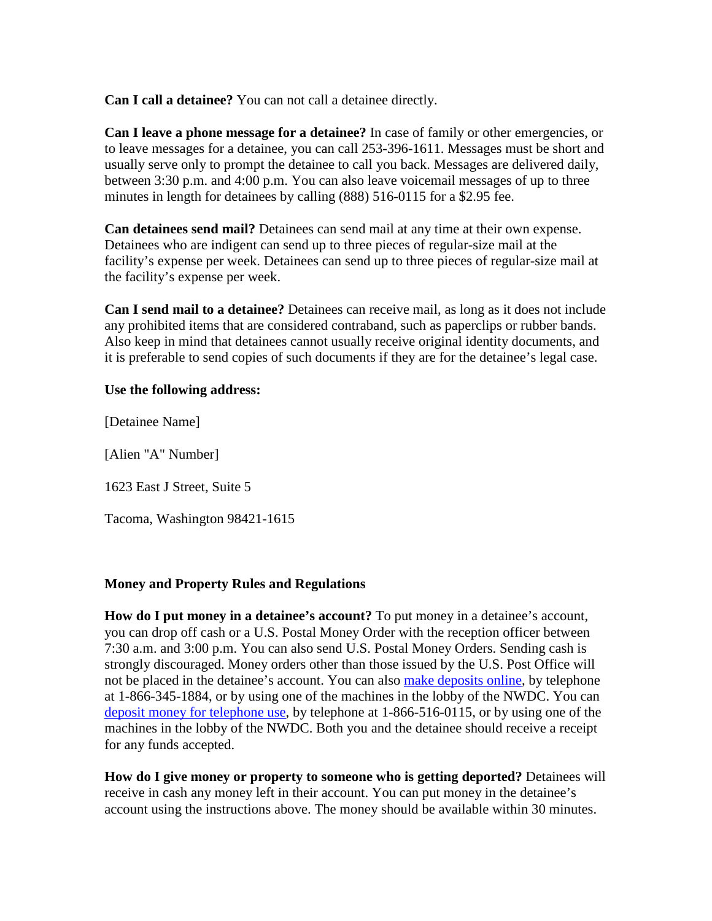**Can I call a detainee?** You can not call a detainee directly.

**Can I leave a phone message for a detainee?** In case of family or other emergencies, or to leave messages for a detainee, you can call 253-396-1611. Messages must be short and usually serve only to prompt the detainee to call you back. Messages are delivered daily, between 3:30 p.m. and 4:00 p.m. You can also leave voicemail messages of up to three minutes in length for detainees by calling (888) 516-0115 for a \$2.95 fee.

**Can detainees send mail?** Detainees can send mail at any time at their own expense. Detainees who are indigent can send up to three pieces of regular-size mail at the facility's expense per week. Detainees can send up to three pieces of regular-size mail at the facility's expense per week.

**Can I send mail to a detainee?** Detainees can receive mail, as long as it does not include any prohibited items that are considered contraband, such as paperclips or rubber bands. Also keep in mind that detainees cannot usually receive original identity documents, and it is preferable to send copies of such documents if they are for the detainee's legal case.

### **Use the following address:**

[Detainee Name]

[Alien "A" Number]

1623 East J Street, Suite 5

Tacoma, Washington 98421-1615

### **Money and Property Rules and Regulations**

**How do I put money in a detainee's account?** To put money in a detainee's account, you can drop off cash or a U.S. Postal Money Order with the reception officer between 7:30 a.m. and 3:00 p.m. You can also send U.S. Postal Money Orders. Sending cash is strongly discouraged. Money orders other than those issued by the U.S. Post Office will not be placed in the detainee's account. You can also [make deposits online,](http://www.inmatedeposits.com/) by telephone at 1-866-345-1884, or by using one of the machines in the lobby of the NWDC. You can [deposit money for telephone use,](http://talton.net/) by telephone at 1-866-516-0115, or by using one of the machines in the lobby of the NWDC. Both you and the detainee should receive a receipt for any funds accepted.

**How do I give money or property to someone who is getting deported?** Detainees will receive in cash any money left in their account. You can put money in the detainee's account using the instructions above. The money should be available within 30 minutes.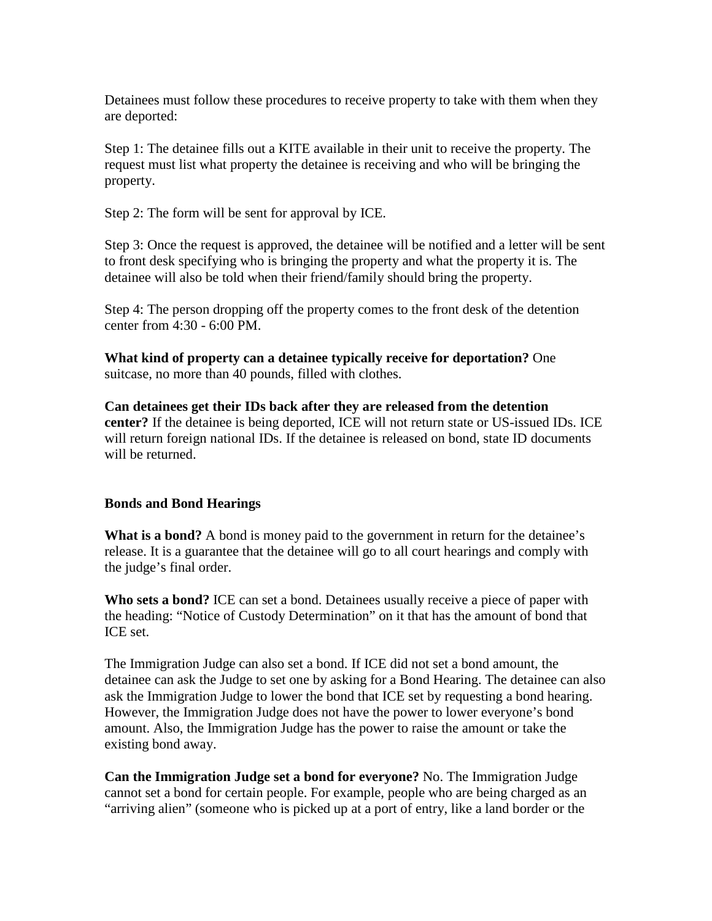Detainees must follow these procedures to receive property to take with them when they are deported:

Step 1: The detainee fills out a KITE available in their unit to receive the property. The request must list what property the detainee is receiving and who will be bringing the property.

Step 2: The form will be sent for approval by ICE.

Step 3: Once the request is approved, the detainee will be notified and a letter will be sent to front desk specifying who is bringing the property and what the property it is. The detainee will also be told when their friend/family should bring the property.

Step 4: The person dropping off the property comes to the front desk of the detention center from 4:30 - 6:00 PM.

**What kind of property can a detainee typically receive for deportation?** One suitcase, no more than 40 pounds, filled with clothes.

**Can detainees get their IDs back after they are released from the detention center?** If the detainee is being deported, ICE will not return state or US-issued IDs. ICE will return foreign national IDs. If the detainee is released on bond, state ID documents will be returned.

# **Bonds and Bond Hearings**

**What is a bond?** A bond is money paid to the government in return for the detainee's release. It is a guarantee that the detainee will go to all court hearings and comply with the judge's final order.

**Who sets a bond?** ICE can set a bond. Detainees usually receive a piece of paper with the heading: "Notice of Custody Determination" on it that has the amount of bond that ICE set.

The Immigration Judge can also set a bond. If ICE did not set a bond amount, the detainee can ask the Judge to set one by asking for a Bond Hearing. The detainee can also ask the Immigration Judge to lower the bond that ICE set by requesting a bond hearing. However, the Immigration Judge does not have the power to lower everyone's bond amount. Also, the Immigration Judge has the power to raise the amount or take the existing bond away.

**Can the Immigration Judge set a bond for everyone?** No. The Immigration Judge cannot set a bond for certain people. For example, people who are being charged as an "arriving alien" (someone who is picked up at a port of entry, like a land border or the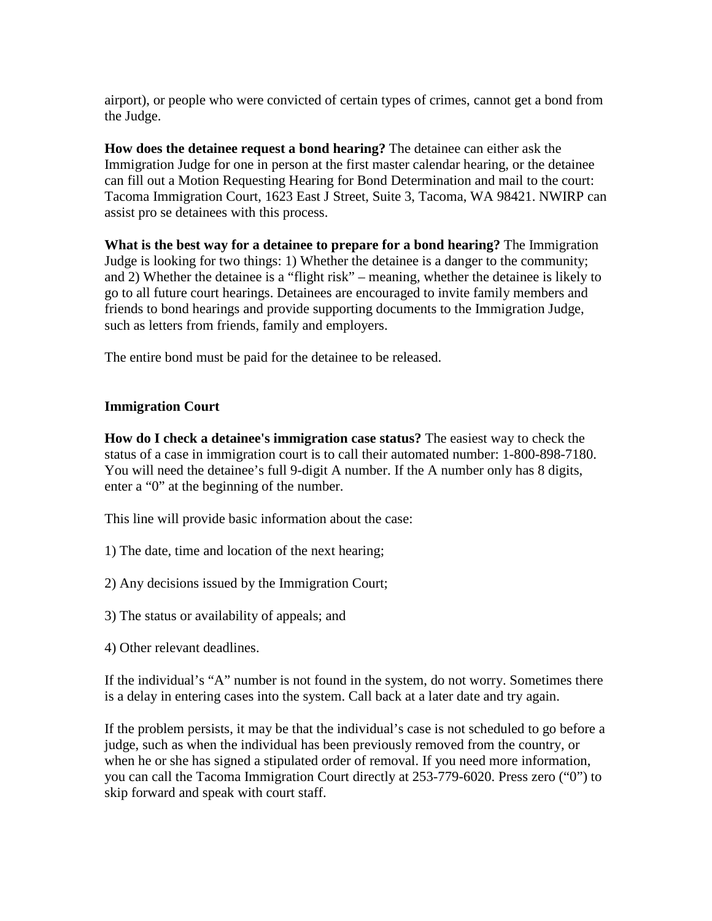airport), or people who were convicted of certain types of crimes, cannot get a bond from the Judge.

**How does the detainee request a bond hearing?** The detainee can either ask the Immigration Judge for one in person at the first master calendar hearing, or the detainee can fill out a Motion Requesting Hearing for Bond Determination and mail to the court: Tacoma Immigration Court, 1623 East J Street, Suite 3, Tacoma, WA 98421. NWIRP can assist pro se detainees with this process.

**What is the best way for a detainee to prepare for a bond hearing?** The Immigration Judge is looking for two things: 1) Whether the detainee is a danger to the community; and 2) Whether the detainee is a "flight risk" – meaning, whether the detainee is likely to go to all future court hearings. Detainees are encouraged to invite family members and friends to bond hearings and provide supporting documents to the Immigration Judge, such as letters from friends, family and employers.

The entire bond must be paid for the detainee to be released.

# **Immigration Court**

**How do I check a detainee's immigration case status?** The easiest way to check the status of a case in immigration court is to call their automated number: 1-800-898-7180. You will need the detainee's full 9-digit A number. If the A number only has 8 digits, enter a "0" at the beginning of the number.

This line will provide basic information about the case:

- 1) The date, time and location of the next hearing;
- 2) Any decisions issued by the Immigration Court;
- 3) The status or availability of appeals; and
- 4) Other relevant deadlines.

If the individual's "A" number is not found in the system, do not worry. Sometimes there is a delay in entering cases into the system. Call back at a later date and try again.

If the problem persists, it may be that the individual's case is not scheduled to go before a judge, such as when the individual has been previously removed from the country, or when he or she has signed a stipulated order of removal. If you need more information, you can call the Tacoma Immigration Court directly at 253-779-6020. Press zero ("0") to skip forward and speak with court staff.